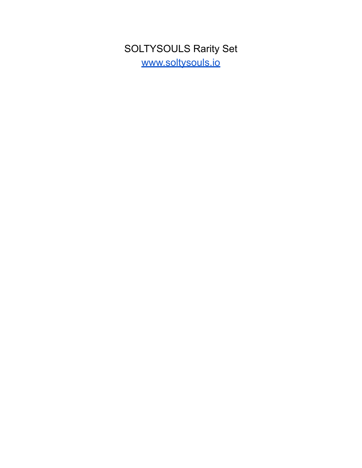SOLTYSOULS Rarity Set [www.soltysouls.io](http://www.soltysouls.io)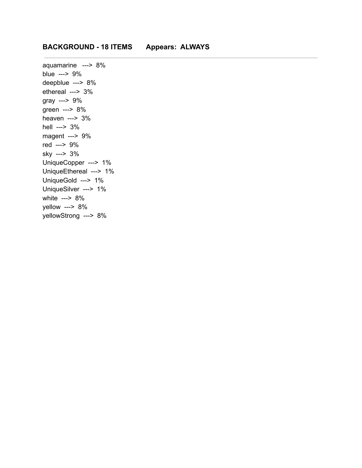aquamarine ---> 8% blue ---> 9% deepblue ---> 8% ethereal ---> 3% gray ---> 9% green ---> 8% heaven ---> 3% hell ---> 3% magent ---> 9% red ---> 9% sky ---> 3% UniqueCopper ---> 1% UniqueEthereal ---> 1% UniqueGold ---> 1% UniqueSilver ---> 1% white ---> 8% yellow ---> 8% yellowStrong ---> 8%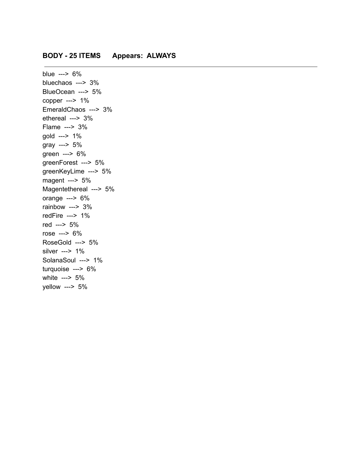## **BODY - 25 ITEMS Appears: ALWAYS**

blue ---> 6% bluechaos ---> 3% BlueOcean ---> 5% copper ---> 1% EmeraldChaos ---> 3% ethereal ---> 3% Flame ---> 3% gold ---> 1% gray ---> 5% green ---> 6% greenForest ---> 5% greenKeyLime ---> 5% magent ---> 5% Magentethereal ---> 5% orange ---> 6% rainbow ---> 3% redFire ---> 1% red ---> 5% rose ---> 6% RoseGold ---> 5% silver ---> 1% SolanaSoul ---> 1% turquoise ---> 6% white ---> 5% yellow ---> 5%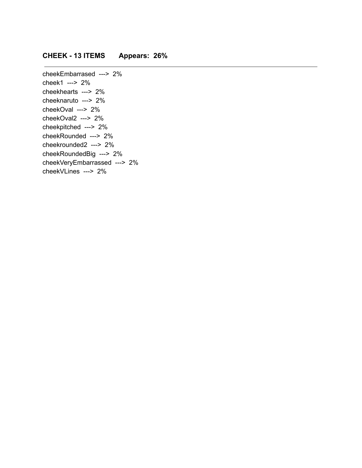## **CHEEK - 13 ITEMS Appears: 26%**

cheekEmbarrased ---> 2% cheek1 ---> 2% cheekhearts ---> 2% cheeknaruto ---> 2% cheekOval ---> 2% cheekOval2 ---> 2% cheekpitched ---> 2% cheekRounded ---> 2% cheekrounded2 ---> 2% cheekRoundedBig ---> 2% cheekVeryEmbarrassed ---> 2% cheekVLines ---> 2%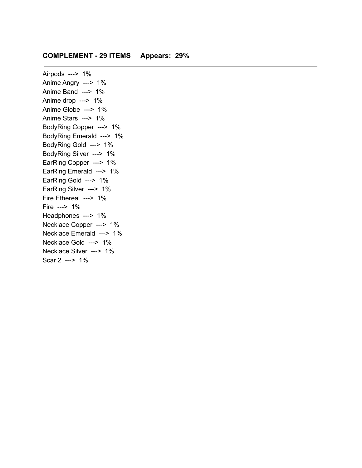### **COMPLEMENT - 29 ITEMS Appears: 29%**

Airpods ---> 1% Anime Angry ---> 1% Anime Band ---> 1% Anime drop ---> 1% Anime Globe ---> 1% Anime Stars ---> 1% BodyRing Copper ---> 1% BodyRing Emerald ---> 1% BodyRing Gold ---> 1% BodyRing Silver ---> 1% EarRing Copper ---> 1% EarRing Emerald ---> 1% EarRing Gold ---> 1% EarRing Silver ---> 1% Fire Ethereal ---> 1% Fire ---> 1% Headphones ---> 1% Necklace Copper ---> 1% Necklace Emerald ---> 1% Necklace Gold ---> 1% Necklace Silver ---> 1% Scar 2 ---> 1%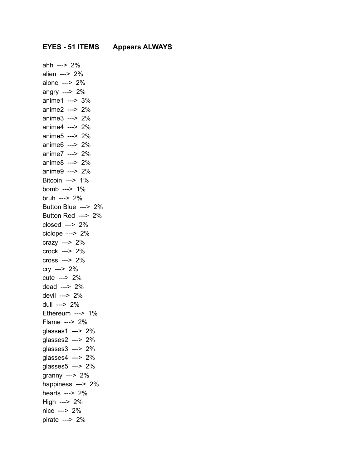#### **EYES - 51 ITEMS Appears ALWAYS**

ahh ---> 2% alien ---> 2% alone ---> 2% angry ---> 2% anime1 ---> 3% anime2 ---> 2% anime3 ---> 2% anime4 ---> 2% anime5 ---> 2% anime6 ---> 2% anime7 ---> 2% anime8 ---> 2% anime9 ---> 2% Bitcoin ---> 1% bomb ---> 1% bruh ---> 2% Button Blue ---> 2% Button Red ---> 2% closed ---> 2% ciclope ---> 2% crazy ---> 2% crock ---> 2% cross ---> 2% cry ---> 2% cute ---> 2% dead ---> 2% devil ---> 2% dull ---> 2% Ethereum ---> 1% Flame ---> 2% glasses1 ---> 2% glasses2 ---> 2% glasses3 ---> 2% glasses4 ---> 2% glasses5 ---> 2% granny ---> 2% happiness ---> 2% hearts ---> 2% High ---> 2% nice ---> 2% pirate ---> 2%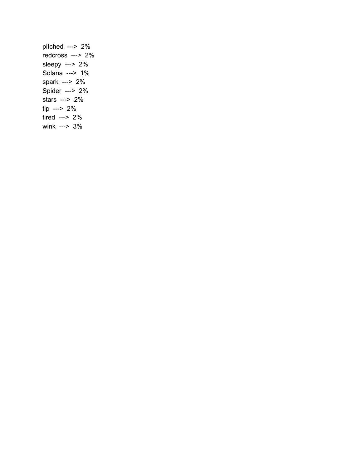pitched ---> 2% redcross ---> 2% sleepy ---> 2% Solana ---> 1% spark ---> 2% Spider ---> 2% stars ---> 2% tip ---> 2% tired ---> 2% wink ---> 3%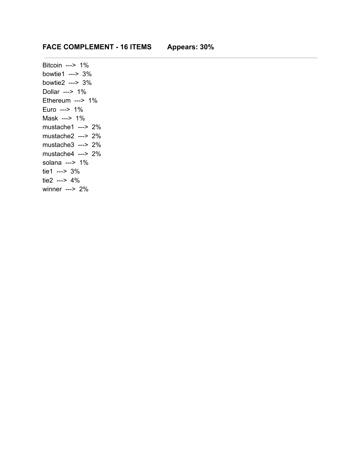## **FACE COMPLEMENT - 16 ITEMS Appears: 30%**

Bitcoin ---> 1% bowtie1 ---> 3% bowtie2 ---> 3% Dollar ---> 1% Ethereum ---> 1% Euro ---> 1% Mask ---> 1% mustache1 ---> 2% mustache2 ---> 2% mustache3 ---> 2% mustache4 ---> 2% solana ---> 1% tie1 ---> 3% tie2 ---> 4% winner ---> 2%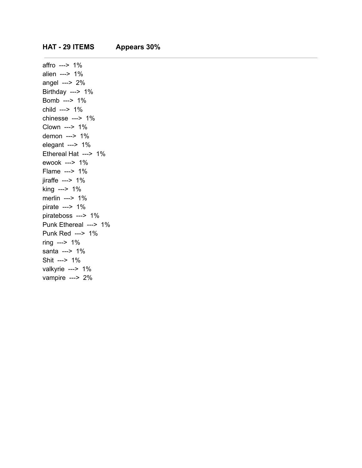affro ---> 1% alien ---> 1% angel ---> 2% Birthday ---> 1% Bomb ---> 1% child ---> 1% chinesse ---> 1% Clown ---> 1% demon ---> 1% elegant ---> 1% Ethereal Hat ---> 1% ewook ---> 1% Flame ---> 1% jiraffe ---> 1% king ---> 1% merlin ---> 1% pirate ---> 1% pirateboss ---> 1% Punk Ethereal ---> 1% Punk Red ---> 1% ring ---> 1% santa ---> 1% Shit ---> 1% valkyrie ---> 1% vampire ---> 2%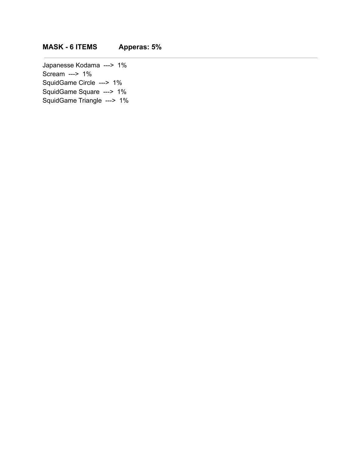# **MASK - 6 ITEMS Apperas: 5%**

Japanesse Kodama ---> 1% Scream ---> 1% SquidGame Circle ---> 1% SquidGame Square ---> 1% SquidGame Triangle ---> 1%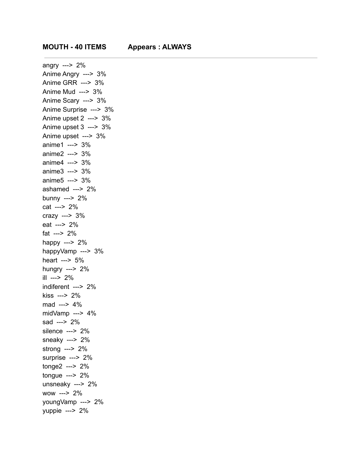angry ---> 2% Anime Angry ---> 3% Anime GRR ---> 3% Anime Mud ---> 3% Anime Scary ---> 3% Anime Surprise ---> 3% Anime upset 2 ---> 3% Anime upset 3 ---> 3% Anime upset ---> 3% anime1 ---> 3% anime2 ---> 3% anime4 ---> 3% anime3 ---> 3% anime5 ---> 3% ashamed ---> 2% bunny ---> 2% cat ---> 2% crazy ---> 3% eat ---> 2% fat ---> 2% happy ---> 2% happyVamp ---> 3% heart ---> 5% hungry ---> 2% ill ---> 2% indiferent ---> 2% kiss ---> 2% mad ---> 4% midVamp ---> 4% sad ---> 2% silence ---> 2% sneaky ---> 2% strong ---> 2% surprise ---> 2% tonge2 ---> 2% tongue ---> 2% unsneaky ---> 2% wow ---> 2% youngVamp ---> 2% yuppie ---> 2%